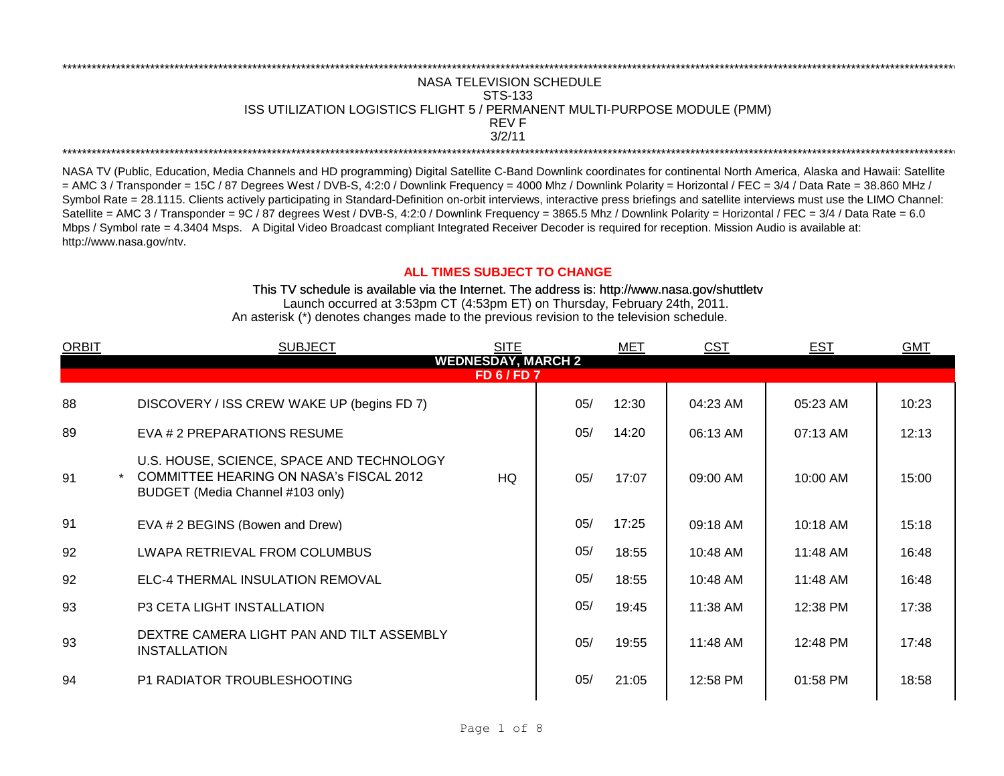## \*\*\*\*\*\*\*\*\*\*\*\*\*\*\*\*\*\*\*\*\*\*\*\*\*\*\*\*\*\*\*\*\*\*\*\*\*\*\*\*\*\*\*\*\*\*\*\*\*\*\*\*\*\*\*\*\*\*\*\*\*\*\*\*\*\*\*\*\*\*\*\*\*\*\*\*\*\*\*\*\*\*\*\*\*\*\*\*\*\*\*\*\*\*\*\*\*\*\*\*\*\*\*\*\*\*\*\*\*\*\*\*\*\*\*\*\*\*\*\*\*\*\*\*\*\*\*\*\*\*\*\*\*\*\*\*\*\*\*\*\*\*\*\*\*\*\*\*\*\*\*\*\*\*\*\*\*\*\*\*\*\*\*\*\*\*\*\*\*\*\*\*\*\*\*\*\*\*\*\*\*\*\*\*\* NASA TELEVISION SCHEDULE STS-133 ISS UTILIZATION LOGISTICS FLIGHT 5 / PERMANENT MULTI-PURPOSE MODULE (PMM) REV F \*\*\*\*\*\*\*\*\*\*\*\*\*\*\*\*\*\*\*\*\*\*\*\*\*\*\*\*\*\*\*\*\*\*\*\*\*\*\*\*\*\*\*\*\*\*\*\*\*\*\*\*\*\*\*\*\*\*\*\*\*\*\*\*\*\*\*\*\*\*\*\*\*\*\*\*\*\*\*\*\*\*\*\*\*\*\*\*\*\*\*\*\*\*\*\*\*\*\*\*\*\*\*\*\*\*\*\*\*\*\*\*\*\*\*\*\*\*\*\*\*\*\*\*\*\*\*\*\*\*\*\*\*\*\*\*\*\*\*\*\*\*\*\*\*\*\*\*\*\*\*\*\*\*\*\*\*\*\*\*\*\*\*\*\*\*\*\*\*\*\*\*\*\*\*\*\*\*\*\*\*\*\*\*\* 3/2/11

NASA TV (Public, Education, Media Channels and HD programming) Digital Satellite C-Band Downlink coordinates for continental North America, Alaska and Hawaii: Satellite  $=$  AMC 3 / Transponder = 15C / 87 Degrees West / DVB-S, 4:2:0 / Downlink Frequency = 4000 Mhz / Downlink Polarity = Horizontal / FEC = 3/4 / Data Rate = 38.860 MHz / Symbol Rate = 28.1115. Clients actively participating in Standard-Definition on-orbit interviews, interactive press briefings and satellite interviews must use the LIMO Channel: Satellite = AMC 3 / Transponder = 9C / 87 degrees West / DVB-S, 4:2:0 / Downlink Frequency = 3865.5 Mhz / Downlink Polarity = Horizontal / FEC = 3/4 / Data Rate = 6.0 Mbps / Symbol rate = 4.3404 Msps. A Digital Video Broadcast compliant Integrated Receiver Decoder is required for reception. Mission Audio is available at: http://www.nasa.gov/ntv.

## **ALL TIMES SUBJECT TO CHANGE**

Launch occurred at 3:53pm CT (4:53pm ET) on Thursday, February 24th, 2011. An asterisk (\*) denotes changes made to the previous revision to the television schedule. This TV schedule is available via the Internet. The address is: http://www.nasa.gov/shuttletv

| <b>ORBIT</b>                                    | <b>SUBJECT</b>                                                                                                                  | <b>SITE</b> |     | MET   | <u>CST</u> | <b>EST</b> | <b>GMT</b> |  |  |  |
|-------------------------------------------------|---------------------------------------------------------------------------------------------------------------------------------|-------------|-----|-------|------------|------------|------------|--|--|--|
| <b>WEDNESDAY, MARCH 2</b><br><b>FD 6 / FD 7</b> |                                                                                                                                 |             |     |       |            |            |            |  |  |  |
| 88                                              | DISCOVERY / ISS CREW WAKE UP (begins FD 7)                                                                                      |             | 05/ | 12:30 | 04:23 AM   | 05:23 AM   | 10:23      |  |  |  |
| 89                                              | EVA # 2 PREPARATIONS RESUME                                                                                                     |             | 05/ | 14:20 | 06:13 AM   | 07:13 AM   | 12:13      |  |  |  |
| 91                                              | U.S. HOUSE, SCIENCE, SPACE AND TECHNOLOGY<br><b>COMMITTEE HEARING ON NASA's FISCAL 2012</b><br>BUDGET (Media Channel #103 only) | HQ.         | 05/ | 17:07 | 09:00 AM   | 10:00 AM   | 15:00      |  |  |  |
| 91                                              | EVA # 2 BEGINS (Bowen and Drew)                                                                                                 |             | 05/ | 17:25 | 09:18 AM   | 10:18 AM   | 15:18      |  |  |  |
| 92                                              | LWAPA RETRIEVAL FROM COLUMBUS                                                                                                   |             | 05/ | 18:55 | 10:48 AM   | 11:48 AM   | 16:48      |  |  |  |
| 92                                              | ELC-4 THERMAL INSULATION REMOVAL                                                                                                |             | 05/ | 18:55 | 10:48 AM   | 11:48 AM   | 16:48      |  |  |  |
| 93                                              | <b>P3 CETA LIGHT INSTALLATION</b>                                                                                               |             | 05/ | 19:45 | 11:38 AM   | 12:38 PM   | 17:38      |  |  |  |
| 93                                              | DEXTRE CAMERA LIGHT PAN AND TILT ASSEMBLY<br><b>INSTALLATION</b>                                                                |             | 05/ | 19:55 | 11:48 AM   | 12:48 PM   | 17:48      |  |  |  |
| 94                                              | P1 RADIATOR TROUBLESHOOTING                                                                                                     |             | 05/ | 21:05 | 12:58 PM   | 01:58 PM   | 18:58      |  |  |  |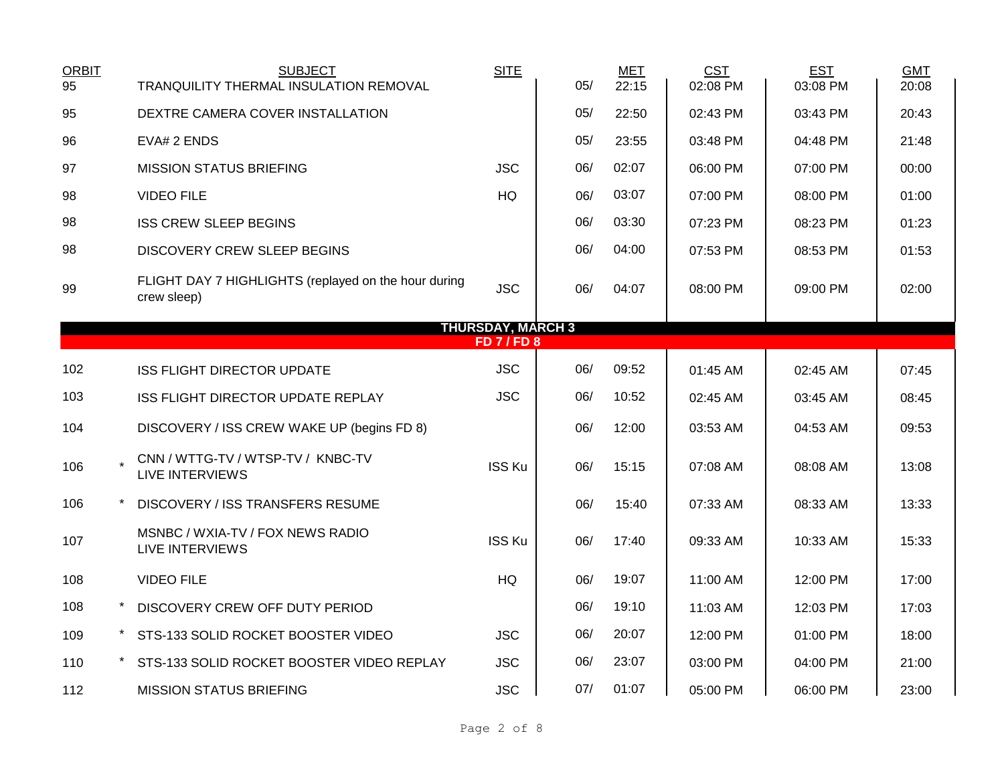| <b>ORBIT</b><br>95 |                          | <b>SUBJECT</b><br>TRANQUILITY THERMAL INSULATION REMOVAL            | <b>SITE</b>    | 05/ | <b>MET</b><br>22:15 | <b>CST</b><br>02:08 PM | <b>EST</b><br>03:08 PM | <b>GMT</b><br>20:08 |  |  |  |
|--------------------|--------------------------|---------------------------------------------------------------------|----------------|-----|---------------------|------------------------|------------------------|---------------------|--|--|--|
| 95                 |                          |                                                                     |                | 05/ | 22:50               |                        |                        | 20:43               |  |  |  |
|                    |                          | DEXTRE CAMERA COVER INSTALLATION                                    |                |     |                     | 02:43 PM               | 03:43 PM               |                     |  |  |  |
| 96                 |                          | EVA# 2 ENDS                                                         |                | 05/ | 23:55               | 03:48 PM               | 04:48 PM               | 21:48               |  |  |  |
| 97                 |                          | <b>MISSION STATUS BRIEFING</b>                                      | <b>JSC</b>     | 06/ | 02:07               | 06:00 PM               | 07:00 PM               | 00:00               |  |  |  |
| 98                 |                          | <b>VIDEO FILE</b>                                                   | HQ             | 06/ | 03:07               | 07:00 PM               | 08:00 PM               | 01:00               |  |  |  |
| 98                 |                          | <b>ISS CREW SLEEP BEGINS</b>                                        |                | 06/ | 03:30               | 07:23 PM               | 08:23 PM               | 01:23               |  |  |  |
| 98                 |                          | <b>DISCOVERY CREW SLEEP BEGINS</b>                                  |                | 06/ | 04:00               | 07:53 PM               | 08:53 PM               | 01:53               |  |  |  |
| 99                 |                          | FLIGHT DAY 7 HIGHLIGHTS (replayed on the hour during<br>crew sleep) | <b>JSC</b>     | 06/ | 04:07               | 08:00 PM               | 09:00 PM               | 02:00               |  |  |  |
|                    | <b>THURSDAY, MARCH 3</b> |                                                                     |                |     |                     |                        |                        |                     |  |  |  |
|                    |                          |                                                                     | <b>FD7/FD8</b> |     |                     |                        |                        |                     |  |  |  |
| 102                |                          | <b>ISS FLIGHT DIRECTOR UPDATE</b>                                   | <b>JSC</b>     | 06/ | 09:52               | 01:45 AM               | 02:45 AM               | 07:45               |  |  |  |
| 103                |                          | ISS FLIGHT DIRECTOR UPDATE REPLAY                                   | <b>JSC</b>     | 06/ | 10:52               | 02:45 AM               | 03:45 AM               | 08:45               |  |  |  |
| 104                |                          | DISCOVERY / ISS CREW WAKE UP (begins FD 8)                          |                | 06/ | 12:00               | 03:53 AM               | 04:53 AM               | 09:53               |  |  |  |
| 106                |                          | CNN / WTTG-TV / WTSP-TV / KNBC-TV<br><b>LIVE INTERVIEWS</b>         | <b>ISS Ku</b>  | 06/ | 15:15               | 07:08 AM               | 08:08 AM               | 13:08               |  |  |  |
| 106                |                          | DISCOVERY / ISS TRANSFERS RESUME                                    |                | 06/ | 15:40               | 07:33 AM               | 08:33 AM               | 13:33               |  |  |  |
| 107                |                          | MSNBC / WXIA-TV / FOX NEWS RADIO<br><b>LIVE INTERVIEWS</b>          | ISS Ku         | 06/ | 17:40               | 09:33 AM               | 10:33 AM               | 15:33               |  |  |  |
| 108                |                          | <b>VIDEO FILE</b>                                                   | HQ             | 06/ | 19:07               | 11:00 AM               | 12:00 PM               | 17:00               |  |  |  |
| 108                |                          | DISCOVERY CREW OFF DUTY PERIOD                                      |                | 06/ | 19:10               | 11:03 AM               | 12:03 PM               | 17:03               |  |  |  |
| 109                |                          | STS-133 SOLID ROCKET BOOSTER VIDEO                                  | <b>JSC</b>     | 06/ | 20:07               | 12:00 PM               | 01:00 PM               | 18:00               |  |  |  |
| 110                |                          | STS-133 SOLID ROCKET BOOSTER VIDEO REPLAY                           | <b>JSC</b>     | 06/ | 23:07               | 03:00 PM               | 04:00 PM               | 21:00               |  |  |  |
| 112                |                          | <b>MISSION STATUS BRIEFING</b>                                      | <b>JSC</b>     | 07/ | 01:07               | 05:00 PM               | 06:00 PM               | 23:00               |  |  |  |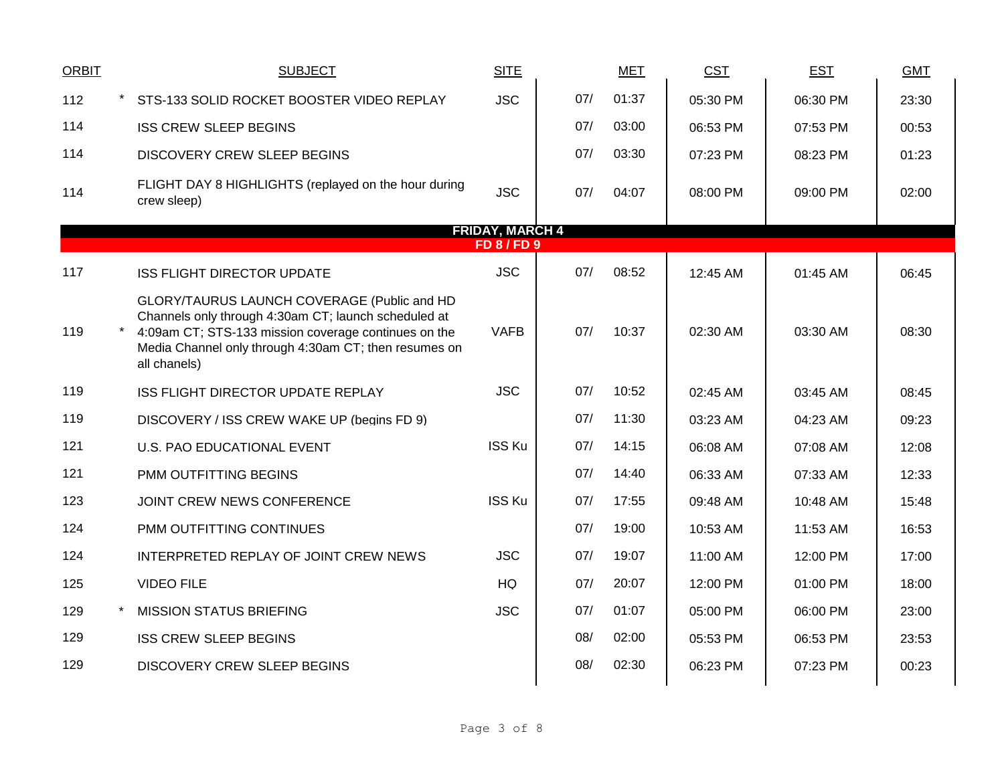| <b>ORBIT</b>           |  | <b>SUBJECT</b>                                                                                                                                                                                                                       | <b>SITE</b>   |     |  | <b>MET</b> | <b>CST</b> | <b>EST</b> | <b>GMT</b> |  |  |
|------------------------|--|--------------------------------------------------------------------------------------------------------------------------------------------------------------------------------------------------------------------------------------|---------------|-----|--|------------|------------|------------|------------|--|--|
| 112                    |  | STS-133 SOLID ROCKET BOOSTER VIDEO REPLAY                                                                                                                                                                                            | <b>JSC</b>    | 07/ |  | 01:37      | 05:30 PM   | 06:30 PM   | 23:30      |  |  |
| 114                    |  | <b>ISS CREW SLEEP BEGINS</b>                                                                                                                                                                                                         |               | 07/ |  | 03:00      | 06:53 PM   | 07:53 PM   | 00:53      |  |  |
| 114                    |  | DISCOVERY CREW SLEEP BEGINS                                                                                                                                                                                                          |               | 07/ |  | 03:30      | 07:23 PM   | 08:23 PM   | 01:23      |  |  |
| 114                    |  | FLIGHT DAY 8 HIGHLIGHTS (replayed on the hour during<br>crew sleep)                                                                                                                                                                  | <b>JSC</b>    | 07/ |  | 04:07      | 08:00 PM   | 09:00 PM   | 02:00      |  |  |
| <b>FRIDAY, MARCH 4</b> |  |                                                                                                                                                                                                                                      |               |     |  |            |            |            |            |  |  |
| FD8/FD9                |  |                                                                                                                                                                                                                                      |               |     |  |            |            |            |            |  |  |
| 117                    |  | <b>ISS FLIGHT DIRECTOR UPDATE</b>                                                                                                                                                                                                    | <b>JSC</b>    | 07/ |  | 08:52      | 12:45 AM   | 01:45 AM   | 06:45      |  |  |
| 119                    |  | GLORY/TAURUS LAUNCH COVERAGE (Public and HD<br>Channels only through 4:30am CT; launch scheduled at<br>4:09am CT; STS-133 mission coverage continues on the<br>Media Channel only through 4:30am CT; then resumes on<br>all chanels) | <b>VAFB</b>   | 07/ |  | 10:37      | 02:30 AM   | 03:30 AM   | 08:30      |  |  |
| 119                    |  | ISS FLIGHT DIRECTOR UPDATE REPLAY                                                                                                                                                                                                    | <b>JSC</b>    | 07/ |  | 10:52      | 02:45 AM   | 03:45 AM   | 08:45      |  |  |
| 119                    |  | DISCOVERY / ISS CREW WAKE UP (begins FD 9)                                                                                                                                                                                           |               | 07/ |  | 11:30      | 03:23 AM   | 04:23 AM   | 09:23      |  |  |
| 121                    |  | <b>U.S. PAO EDUCATIONAL EVENT</b>                                                                                                                                                                                                    | <b>ISS Ku</b> | 07/ |  | 14:15      | 06:08 AM   | 07:08 AM   | 12:08      |  |  |
| 121                    |  | PMM OUTFITTING BEGINS                                                                                                                                                                                                                |               | 07/ |  | 14:40      | 06:33 AM   | 07:33 AM   | 12:33      |  |  |
| 123                    |  | JOINT CREW NEWS CONFERENCE                                                                                                                                                                                                           | <b>ISS Ku</b> | 07/ |  | 17:55      | 09:48 AM   | 10:48 AM   | 15:48      |  |  |
| 124                    |  | PMM OUTFITTING CONTINUES                                                                                                                                                                                                             |               | 07/ |  | 19:00      | 10:53 AM   | 11:53 AM   | 16:53      |  |  |
| 124                    |  | INTERPRETED REPLAY OF JOINT CREW NEWS                                                                                                                                                                                                | <b>JSC</b>    | 07/ |  | 19:07      | 11:00 AM   | 12:00 PM   | 17:00      |  |  |
| 125                    |  | <b>VIDEO FILE</b>                                                                                                                                                                                                                    | HQ            | 07/ |  | 20:07      | 12:00 PM   | 01:00 PM   | 18:00      |  |  |
| 129                    |  | <b>MISSION STATUS BRIEFING</b>                                                                                                                                                                                                       | <b>JSC</b>    | 07/ |  | 01:07      | 05:00 PM   | 06:00 PM   | 23:00      |  |  |
| 129                    |  | <b>ISS CREW SLEEP BEGINS</b>                                                                                                                                                                                                         |               | 08/ |  | 02:00      | 05:53 PM   | 06:53 PM   | 23:53      |  |  |
| 129                    |  | DISCOVERY CREW SLEEP BEGINS                                                                                                                                                                                                          |               | 08/ |  | 02:30      | 06:23 PM   | 07:23 PM   | 00:23      |  |  |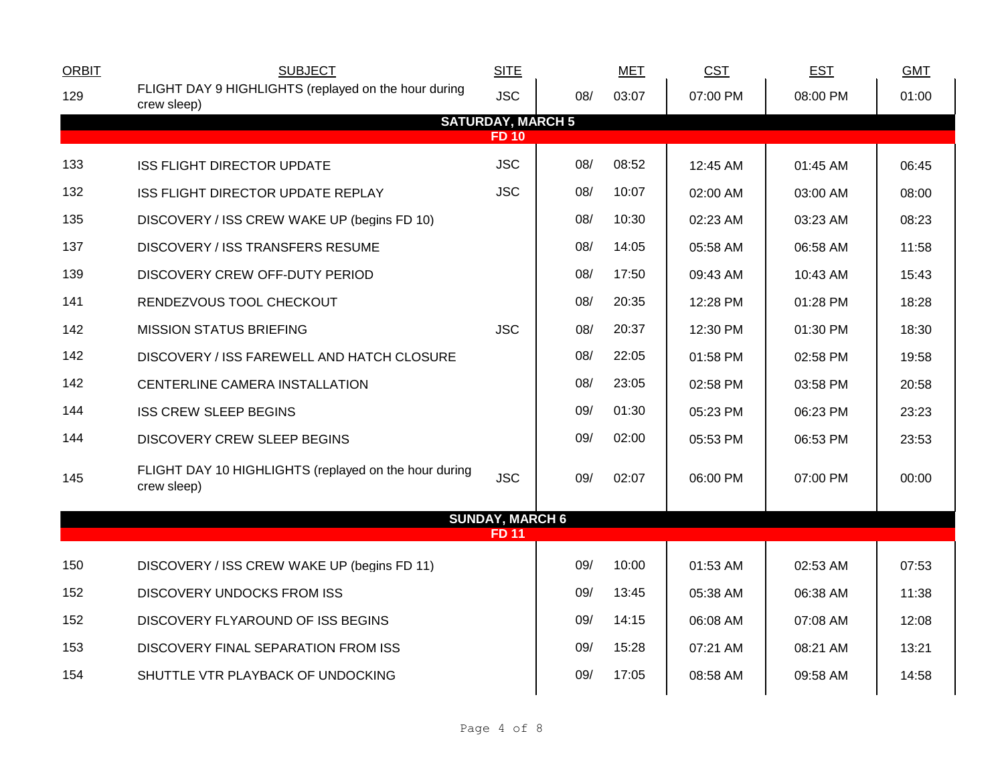| <b>ORBIT</b> | <b>SUBJECT</b>                                                       | <b>SITE</b>              |     | <b>MET</b> | <b>CST</b> | <b>EST</b> | <b>GMT</b> |  |  |  |
|--------------|----------------------------------------------------------------------|--------------------------|-----|------------|------------|------------|------------|--|--|--|
| 129          | FLIGHT DAY 9 HIGHLIGHTS (replayed on the hour during<br>crew sleep)  | <b>JSC</b>               | 08/ | 03:07      | 07:00 PM   | 08:00 PM   | 01:00      |  |  |  |
|              |                                                                      | <b>SATURDAY, MARCH 5</b> |     |            |            |            |            |  |  |  |
| <b>FD10</b>  |                                                                      |                          |     |            |            |            |            |  |  |  |
| 133          | <b>ISS FLIGHT DIRECTOR UPDATE</b>                                    | <b>JSC</b>               | 08/ | 08:52      | 12:45 AM   | 01:45 AM   | 06:45      |  |  |  |
| 132          | ISS FLIGHT DIRECTOR UPDATE REPLAY                                    | <b>JSC</b>               | 08/ | 10:07      | 02:00 AM   | 03:00 AM   | 08:00      |  |  |  |
| 135          | DISCOVERY / ISS CREW WAKE UP (begins FD 10)                          |                          | 08/ | 10:30      | 02:23 AM   | 03:23 AM   | 08:23      |  |  |  |
| 137          | <b>DISCOVERY / ISS TRANSFERS RESUME</b>                              |                          | 08/ | 14:05      | 05:58 AM   | 06:58 AM   | 11:58      |  |  |  |
| 139          | DISCOVERY CREW OFF-DUTY PERIOD                                       |                          | 08/ | 17:50      | 09:43 AM   | 10:43 AM   | 15:43      |  |  |  |
| 141          | RENDEZVOUS TOOL CHECKOUT                                             |                          | 08/ | 20:35      | 12:28 PM   | 01:28 PM   | 18:28      |  |  |  |
| 142          | <b>MISSION STATUS BRIEFING</b>                                       | <b>JSC</b>               | 08/ | 20:37      | 12:30 PM   | 01:30 PM   | 18:30      |  |  |  |
| 142          | DISCOVERY / ISS FAREWELL AND HATCH CLOSURE                           |                          | 08/ | 22:05      | 01:58 PM   | 02:58 PM   | 19:58      |  |  |  |
| 142          | CENTERLINE CAMERA INSTALLATION                                       |                          | 08/ | 23:05      | 02:58 PM   | 03:58 PM   | 20:58      |  |  |  |
| 144          | <b>ISS CREW SLEEP BEGINS</b>                                         |                          | 09/ | 01:30      | 05:23 PM   | 06:23 PM   | 23:23      |  |  |  |
| 144          | DISCOVERY CREW SLEEP BEGINS                                          |                          | 09/ | 02:00      | 05:53 PM   | 06:53 PM   | 23:53      |  |  |  |
| 145          | FLIGHT DAY 10 HIGHLIGHTS (replayed on the hour during<br>crew sleep) | <b>JSC</b>               | 09/ | 02:07      | 06:00 PM   | 07:00 PM   | 00:00      |  |  |  |
|              |                                                                      | <b>SUNDAY, MARCH 6</b>   |     |            |            |            |            |  |  |  |
|              |                                                                      | <b>FD11</b>              |     |            |            |            |            |  |  |  |
| 150          | DISCOVERY / ISS CREW WAKE UP (begins FD 11)                          |                          | 09/ | 10:00      | 01:53 AM   | 02:53 AM   | 07:53      |  |  |  |
| 152          | <b>DISCOVERY UNDOCKS FROM ISS</b>                                    |                          | 09/ | 13:45      | 05:38 AM   | 06:38 AM   | 11:38      |  |  |  |
| 152          | DISCOVERY FLYAROUND OF ISS BEGINS                                    |                          | 09/ | 14:15      | 06:08 AM   | 07:08 AM   | 12:08      |  |  |  |
| 153          | DISCOVERY FINAL SEPARATION FROM ISS                                  |                          | 09/ | 15:28      | 07:21 AM   | 08:21 AM   | 13:21      |  |  |  |
| 154          | SHUTTLE VTR PLAYBACK OF UNDOCKING                                    |                          | 09/ | 17:05      | 08:58 AM   | 09:58 AM   | 14:58      |  |  |  |
|              |                                                                      |                          |     |            |            |            |            |  |  |  |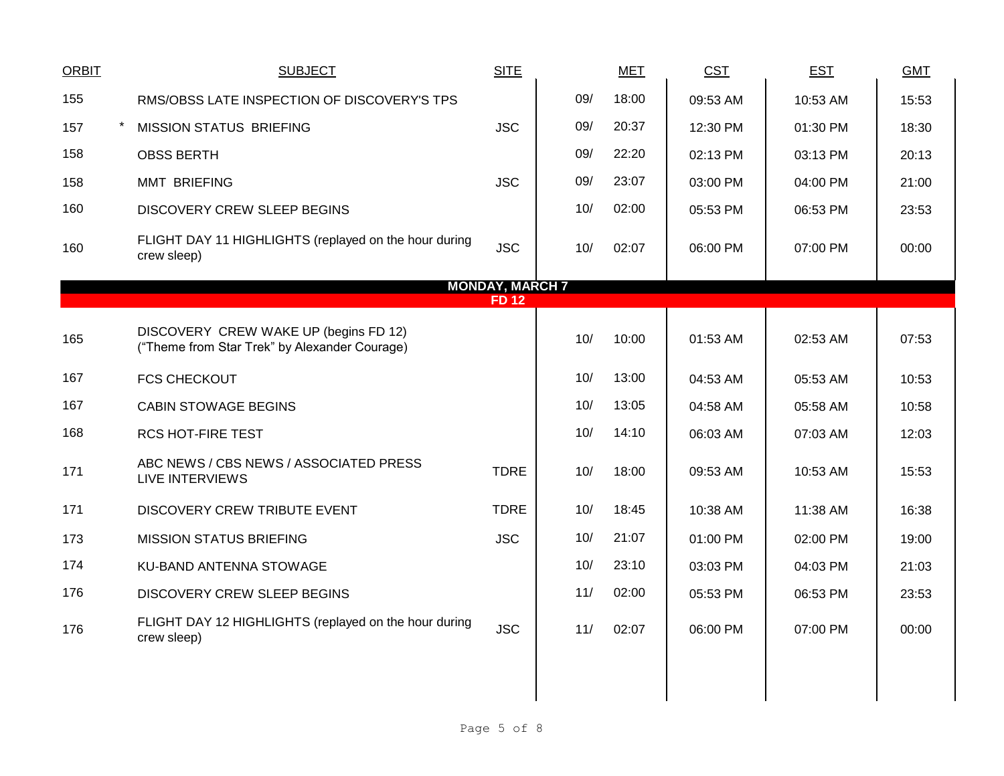| <b>ORBIT</b>                          | <b>SUBJECT</b>                                                                         | <b>SITE</b> |     | <b>MET</b> | <b>CST</b> | <b>EST</b> | <b>GMT</b> |  |  |
|---------------------------------------|----------------------------------------------------------------------------------------|-------------|-----|------------|------------|------------|------------|--|--|
| 155                                   | RMS/OBSS LATE INSPECTION OF DISCOVERY'S TPS                                            |             | 09/ | 18:00      | 09:53 AM   | 10:53 AM   | 15:53      |  |  |
| 157                                   | MISSION STATUS BRIEFING                                                                | <b>JSC</b>  | 09/ | 20:37      | 12:30 PM   | 01:30 PM   | 18:30      |  |  |
| 158                                   | <b>OBSS BERTH</b>                                                                      |             | 09/ | 22:20      | 02:13 PM   | 03:13 PM   | 20:13      |  |  |
| 158                                   | <b>MMT BRIEFING</b>                                                                    | <b>JSC</b>  | 09/ | 23:07      | 03:00 PM   | 04:00 PM   | 21:00      |  |  |
| 160                                   | DISCOVERY CREW SLEEP BEGINS                                                            |             | 10/ | 02:00      | 05:53 PM   | 06:53 PM   | 23:53      |  |  |
| 160                                   | FLIGHT DAY 11 HIGHLIGHTS (replayed on the hour during<br>crew sleep)                   | <b>JSC</b>  | 10/ | 02:07      | 06:00 PM   | 07:00 PM   | 00:00      |  |  |
| <b>MONDAY, MARCH 7</b><br><b>FD12</b> |                                                                                        |             |     |            |            |            |            |  |  |
|                                       |                                                                                        |             |     |            |            |            |            |  |  |
| 165                                   | DISCOVERY CREW WAKE UP (begins FD 12)<br>("Theme from Star Trek" by Alexander Courage) |             | 10/ | 10:00      | 01:53 AM   | 02:53 AM   | 07:53      |  |  |
| 167                                   | <b>FCS CHECKOUT</b>                                                                    |             | 10/ | 13:00      | 04:53 AM   | 05:53 AM   | 10:53      |  |  |
| 167                                   | <b>CABIN STOWAGE BEGINS</b>                                                            |             | 10/ | 13:05      | 04:58 AM   | 05:58 AM   | 10:58      |  |  |
| 168                                   | <b>RCS HOT-FIRE TEST</b>                                                               |             | 10/ | 14:10      | 06:03 AM   | 07:03 AM   | 12:03      |  |  |
| 171                                   | ABC NEWS / CBS NEWS / ASSOCIATED PRESS<br><b>LIVE INTERVIEWS</b>                       | <b>TDRE</b> | 10/ | 18:00      | 09:53 AM   | 10:53 AM   | 15:53      |  |  |
| 171                                   | DISCOVERY CREW TRIBUTE EVENT                                                           | <b>TDRE</b> | 10/ | 18:45      | 10:38 AM   | 11:38 AM   | 16:38      |  |  |
| 173                                   | <b>MISSION STATUS BRIEFING</b>                                                         | <b>JSC</b>  | 10/ | 21:07      | 01:00 PM   | 02:00 PM   | 19:00      |  |  |
| 174                                   | KU-BAND ANTENNA STOWAGE                                                                |             | 10/ | 23:10      | 03:03 PM   | 04:03 PM   | 21:03      |  |  |
| 176                                   | DISCOVERY CREW SLEEP BEGINS                                                            |             | 11/ | 02:00      | 05:53 PM   | 06:53 PM   | 23:53      |  |  |
| 176                                   | FLIGHT DAY 12 HIGHLIGHTS (replayed on the hour during<br>crew sleep)                   | <b>JSC</b>  | 11/ | 02:07      | 06:00 PM   | 07:00 PM   | 00:00      |  |  |
|                                       |                                                                                        |             |     |            |            |            |            |  |  |
|                                       |                                                                                        |             |     |            |            |            |            |  |  |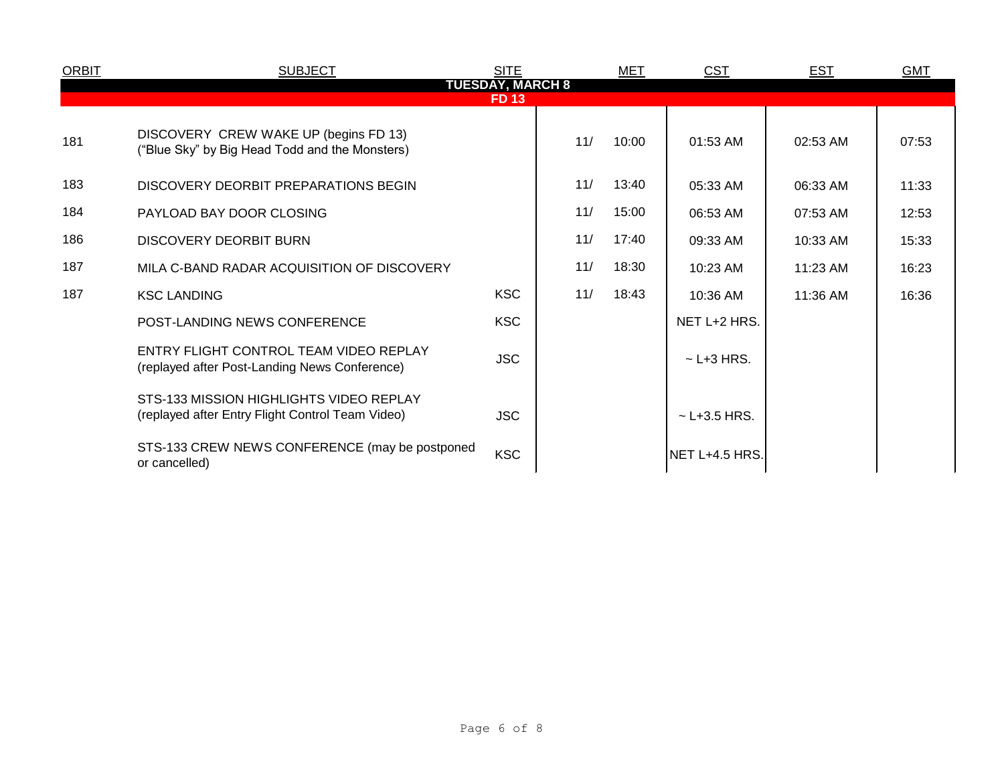| <b>ORBIT</b>            | <b>SUBJECT</b>                                                                              | <b>SITE</b> |     | MET   | CST              | <b>EST</b> | <b>GMT</b> |  |  |  |
|-------------------------|---------------------------------------------------------------------------------------------|-------------|-----|-------|------------------|------------|------------|--|--|--|
| <b>TUESDAY, MARCH 8</b> |                                                                                             |             |     |       |                  |            |            |  |  |  |
|                         | <b>FD13</b>                                                                                 |             |     |       |                  |            |            |  |  |  |
| 181                     | DISCOVERY CREW WAKE UP (begins FD 13)<br>("Blue Sky" by Big Head Todd and the Monsters)     |             | 11/ | 10:00 | 01:53 AM         | 02:53 AM   | 07:53      |  |  |  |
| 183                     | DISCOVERY DEORBIT PREPARATIONS BEGIN                                                        |             | 11/ | 13:40 | 05:33 AM         | 06:33 AM   | 11:33      |  |  |  |
| 184                     | PAYLOAD BAY DOOR CLOSING                                                                    |             | 11/ | 15:00 | 06:53 AM         | 07:53 AM   | 12:53      |  |  |  |
| 186                     | DISCOVERY DEORBIT BURN                                                                      |             | 11/ | 17:40 | 09:33 AM         | 10:33 AM   | 15:33      |  |  |  |
| 187                     | MILA C-BAND RADAR ACQUISITION OF DISCOVERY                                                  |             | 11/ | 18:30 | 10:23 AM         | 11:23 AM   | 16:23      |  |  |  |
| 187                     | <b>KSC LANDING</b>                                                                          | <b>KSC</b>  | 11/ | 18:43 | 10:36 AM         | 11:36 AM   | 16:36      |  |  |  |
|                         | POST-LANDING NEWS CONFERENCE                                                                | <b>KSC</b>  |     |       | NET L+2 HRS.     |            |            |  |  |  |
|                         | ENTRY FLIGHT CONTROL TEAM VIDEO REPLAY<br>(replayed after Post-Landing News Conference)     | <b>JSC</b>  |     |       | $\sim$ L+3 HRS.  |            |            |  |  |  |
|                         | STS-133 MISSION HIGHLIGHTS VIDEO REPLAY<br>(replayed after Entry Flight Control Team Video) | <b>JSC</b>  |     |       | $~$ - L+3.5 HRS. |            |            |  |  |  |
|                         | STS-133 CREW NEWS CONFERENCE (may be postponed<br>or cancelled)                             | <b>KSC</b>  |     |       | NET L+4.5 HRS.   |            |            |  |  |  |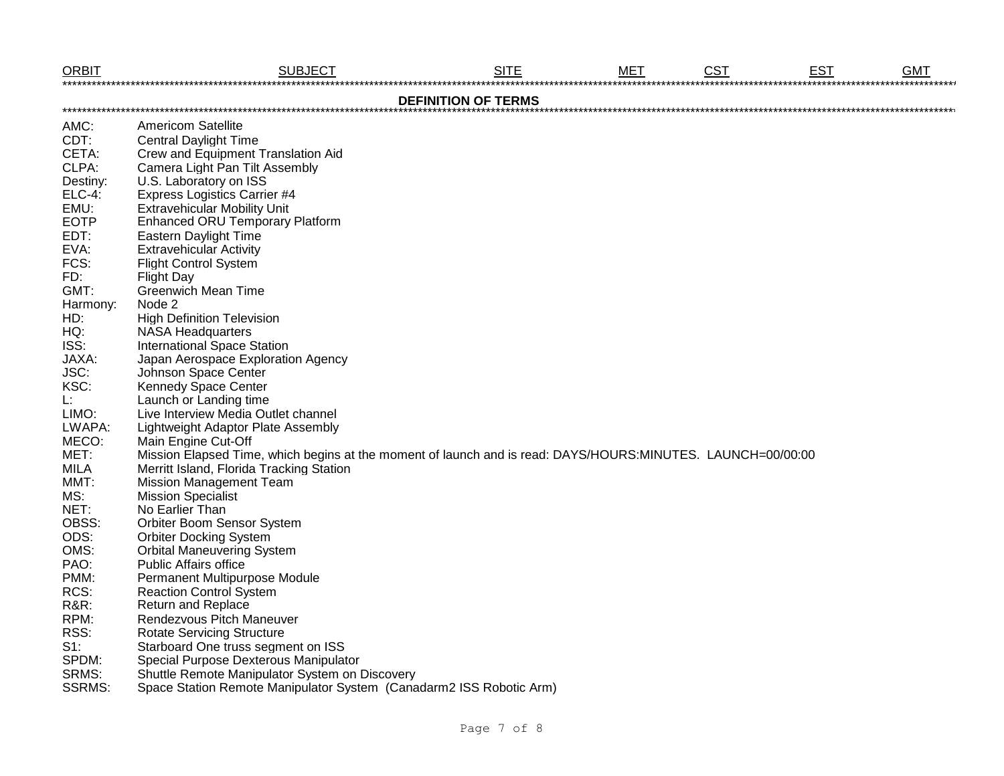| <b>ORBIT</b>    | <b>SUBJECT</b>                                                                                              | <b>SITE</b> | <b>MET</b> | <b>CST</b> | <b>EST</b> | <b>GMT</b> |  |  |  |  |
|-----------------|-------------------------------------------------------------------------------------------------------------|-------------|------------|------------|------------|------------|--|--|--|--|
|                 | <b>DEFINITION OF TERMS</b>                                                                                  |             |            |            |            |            |  |  |  |  |
| AMC:            | <b>Americom Satellite</b>                                                                                   |             |            |            |            |            |  |  |  |  |
| CDT:            | <b>Central Daylight Time</b>                                                                                |             |            |            |            |            |  |  |  |  |
| CETA:           | Crew and Equipment Translation Aid                                                                          |             |            |            |            |            |  |  |  |  |
| CLPA:           | Camera Light Pan Tilt Assembly                                                                              |             |            |            |            |            |  |  |  |  |
| Destiny:        | U.S. Laboratory on ISS                                                                                      |             |            |            |            |            |  |  |  |  |
| <b>ELC-4:</b>   | <b>Express Logistics Carrier #4</b>                                                                         |             |            |            |            |            |  |  |  |  |
| EMU:            | <b>Extravehicular Mobility Unit</b>                                                                         |             |            |            |            |            |  |  |  |  |
| <b>EOTP</b>     | Enhanced ORU Temporary Platform                                                                             |             |            |            |            |            |  |  |  |  |
| EDT:            | <b>Eastern Daylight Time</b>                                                                                |             |            |            |            |            |  |  |  |  |
| EVA:            | <b>Extravehicular Activity</b>                                                                              |             |            |            |            |            |  |  |  |  |
| FCS:            | <b>Flight Control System</b>                                                                                |             |            |            |            |            |  |  |  |  |
| FD:             | <b>Flight Day</b>                                                                                           |             |            |            |            |            |  |  |  |  |
| GMT:            | <b>Greenwich Mean Time</b>                                                                                  |             |            |            |            |            |  |  |  |  |
| Harmony:        | Node 2                                                                                                      |             |            |            |            |            |  |  |  |  |
| HD:             | <b>High Definition Television</b>                                                                           |             |            |            |            |            |  |  |  |  |
| HQ:             | <b>NASA Headquarters</b>                                                                                    |             |            |            |            |            |  |  |  |  |
| ISS:            | <b>International Space Station</b>                                                                          |             |            |            |            |            |  |  |  |  |
| JAXA:           | Japan Aerospace Exploration Agency                                                                          |             |            |            |            |            |  |  |  |  |
| JSC:            | Johnson Space Center                                                                                        |             |            |            |            |            |  |  |  |  |
| KSC:            | <b>Kennedy Space Center</b>                                                                                 |             |            |            |            |            |  |  |  |  |
| Ŀ.              | Launch or Landing time                                                                                      |             |            |            |            |            |  |  |  |  |
| LIMO:           | Live Interview Media Outlet channel                                                                         |             |            |            |            |            |  |  |  |  |
| LWAPA:          | Lightweight Adaptor Plate Assembly                                                                          |             |            |            |            |            |  |  |  |  |
| MECO:           | Main Engine Cut-Off                                                                                         |             |            |            |            |            |  |  |  |  |
| MET:            | Mission Elapsed Time, which begins at the moment of launch and is read: DAYS/HOURS:MINUTES. LAUNCH=00/00:00 |             |            |            |            |            |  |  |  |  |
| <b>MILA</b>     | Merritt Island, Florida Tracking Station                                                                    |             |            |            |            |            |  |  |  |  |
| MMT:            | <b>Mission Management Team</b>                                                                              |             |            |            |            |            |  |  |  |  |
| MS:             | <b>Mission Specialist</b>                                                                                   |             |            |            |            |            |  |  |  |  |
| NET:            | No Earlier Than                                                                                             |             |            |            |            |            |  |  |  |  |
| OBSS:           | <b>Orbiter Boom Sensor System</b>                                                                           |             |            |            |            |            |  |  |  |  |
| ODS:            | <b>Orbiter Docking System</b>                                                                               |             |            |            |            |            |  |  |  |  |
| OMS:            | <b>Orbital Maneuvering System</b>                                                                           |             |            |            |            |            |  |  |  |  |
| PAO:            | <b>Public Affairs office</b>                                                                                |             |            |            |            |            |  |  |  |  |
| PMM:            | Permanent Multipurpose Module                                                                               |             |            |            |            |            |  |  |  |  |
| RCS:            | <b>Reaction Control System</b>                                                                              |             |            |            |            |            |  |  |  |  |
| <b>R&amp;R:</b> | <b>Return and Replace</b>                                                                                   |             |            |            |            |            |  |  |  |  |
| RPM:            | Rendezvous Pitch Maneuver                                                                                   |             |            |            |            |            |  |  |  |  |
| RSS:            | <b>Rotate Servicing Structure</b>                                                                           |             |            |            |            |            |  |  |  |  |
| $S1$ :          | Starboard One truss segment on ISS                                                                          |             |            |            |            |            |  |  |  |  |
| SPDM:           | Special Purpose Dexterous Manipulator                                                                       |             |            |            |            |            |  |  |  |  |
| SRMS:           | Shuttle Remote Manipulator System on Discovery                                                              |             |            |            |            |            |  |  |  |  |
| <b>SSRMS:</b>   | Space Station Remote Manipulator System (Canadarm2 ISS Robotic Arm)                                         |             |            |            |            |            |  |  |  |  |